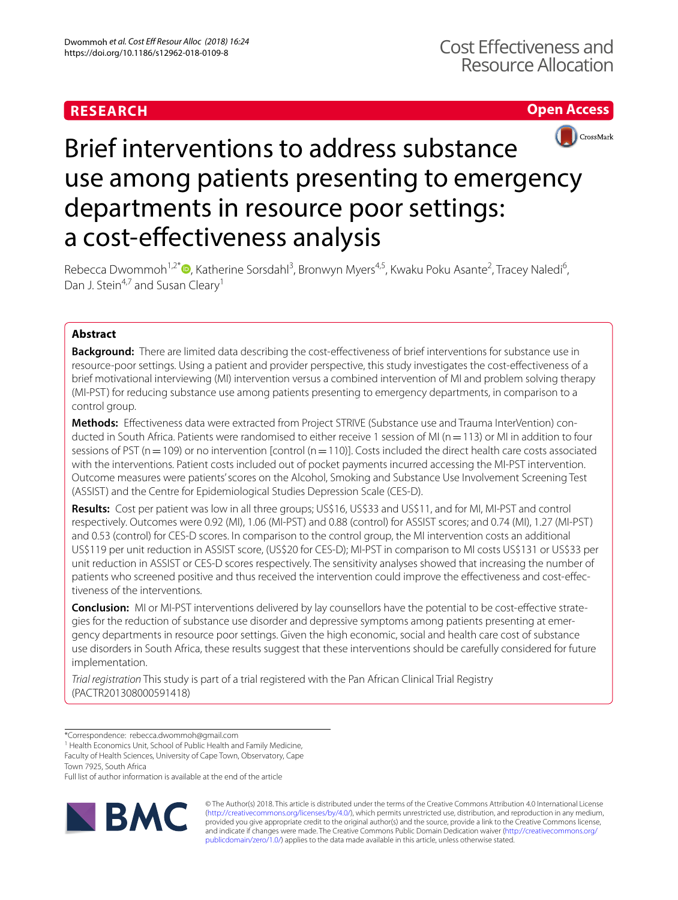# **RESEARCH**

**Open Access**



# Brief interventions to address substance use among patients presenting to emergency departments in resource poor settings: a cost-efectiveness analysis

Rebecca Dwommoh<sup>1,2\*</sup><sup>®</sup>[,](http://orcid.org/0000-0002-2261-0905) Katherine Sorsdahl<sup>3</sup>, Bronwyn Myers<sup>4,5</sup>, Kwaku Poku Asante<sup>2</sup>, Tracey Naledi<sup>6</sup>, Dan J. Stein<sup>4,7</sup> and Susan Cleary<sup>1</sup>

# **Abstract**

**Background:** There are limited data describing the cost-efectiveness of brief interventions for substance use in resource-poor settings. Using a patient and provider perspective, this study investigates the cost-efectiveness of a brief motivational interviewing (MI) intervention versus a combined intervention of MI and problem solving therapy (MI-PST) for reducing substance use among patients presenting to emergency departments, in comparison to a control group.

**Methods:** Efectiveness data were extracted from Project STRIVE (Substance use and Trauma InterVention) conducted in South Africa. Patients were randomised to either receive 1 session of MI ( $n=113$ ) or MI in addition to four sessions of PST ( $n=109$ ) or no intervention [control ( $n=110$ )]. Costs included the direct health care costs associated with the interventions. Patient costs included out of pocket payments incurred accessing the MI-PST intervention. Outcome measures were patients' scores on the Alcohol, Smoking and Substance Use Involvement Screening Test (ASSIST) and the Centre for Epidemiological Studies Depression Scale (CES-D).

**Results:** Cost per patient was low in all three groups; US\$16, US\$33 and US\$11, and for MI, MI-PST and control respectively. Outcomes were 0.92 (MI), 1.06 (MI-PST) and 0.88 (control) for ASSIST scores; and 0.74 (MI), 1.27 (MI-PST) and 0.53 (control) for CES-D scores. In comparison to the control group, the MI intervention costs an additional US\$119 per unit reduction in ASSIST score, (US\$20 for CES-D); MI-PST in comparison to MI costs US\$131 or US\$33 per unit reduction in ASSIST or CES-D scores respectively. The sensitivity analyses showed that increasing the number of patients who screened positive and thus received the intervention could improve the efectiveness and cost-efectiveness of the interventions.

**Conclusion:** MI or MI-PST interventions delivered by lay counsellors have the potential to be cost-efective strategies for the reduction of substance use disorder and depressive symptoms among patients presenting at emergency departments in resource poor settings. Given the high economic, social and health care cost of substance use disorders in South Africa, these results suggest that these interventions should be carefully considered for future implementation.

*Trial registration* This study is part of a trial registered with the Pan African Clinical Trial Registry (PACTR201308000591418)

\*Correspondence: rebecca.dwommoh@gmail.com

<sup>1</sup> Health Economics Unit, School of Public Health and Family Medicine,

Faculty of Health Sciences, University of Cape Town, Observatory, Cape

Town 7925, South Africa

Full list of author information is available at the end of the article



© The Author(s) 2018. This article is distributed under the terms of the Creative Commons Attribution 4.0 International License [\(http://creativecommons.org/licenses/by/4.0/\)](http://creativecommons.org/licenses/by/4.0/), which permits unrestricted use, distribution, and reproduction in any medium, provided you give appropriate credit to the original author(s) and the source, provide a link to the Creative Commons license, and indicate if changes were made. The Creative Commons Public Domain Dedication waiver ([http://creativecommons.org/](http://creativecommons.org/publicdomain/zero/1.0/) [publicdomain/zero/1.0/](http://creativecommons.org/publicdomain/zero/1.0/)) applies to the data made available in this article, unless otherwise stated.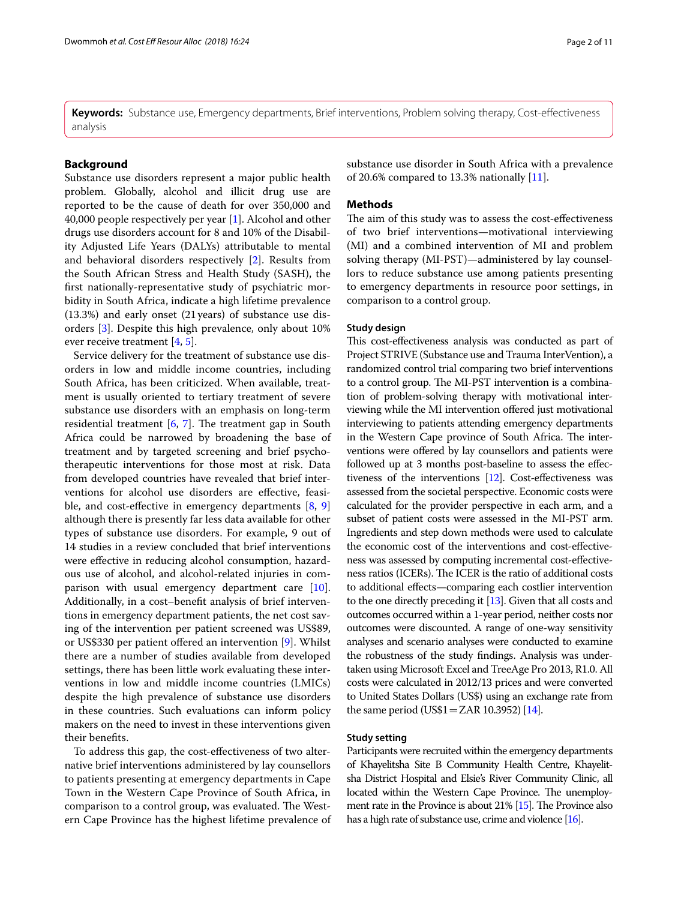**Keywords:** Substance use, Emergency departments, Brief interventions, Problem solving therapy, Cost-efectiveness analysis

#### **Background**

Substance use disorders represent a major public health problem. Globally, alcohol and illicit drug use are reported to be the cause of death for over 350,000 and 40,000 people respectively per year [\[1](#page-10-0)]. Alcohol and other drugs use disorders account for 8 and 10% of the Disability Adjusted Life Years (DALYs) attributable to mental and behavioral disorders respectively [[2\]](#page-10-1). Results from the South African Stress and Health Study (SASH), the frst nationally-representative study of psychiatric morbidity in South Africa, indicate a high lifetime prevalence (13.3%) and early onset (21years) of substance use disorders [\[3](#page-10-2)]. Despite this high prevalence, only about 10% ever receive treatment [\[4](#page-10-3), [5\]](#page-10-4).

Service delivery for the treatment of substance use disorders in low and middle income countries, including South Africa, has been criticized. When available, treatment is usually oriented to tertiary treatment of severe substance use disorders with an emphasis on long-term residential treatment  $[6, 7]$  $[6, 7]$  $[6, 7]$  $[6, 7]$  $[6, 7]$ . The treatment gap in South Africa could be narrowed by broadening the base of treatment and by targeted screening and brief psychotherapeutic interventions for those most at risk. Data from developed countries have revealed that brief interventions for alcohol use disorders are efective, feasible, and cost-effective in emergency departments  $[8, 9]$  $[8, 9]$  $[8, 9]$  $[8, 9]$ although there is presently far less data available for other types of substance use disorders. For example, 9 out of 14 studies in a review concluded that brief interventions were effective in reducing alcohol consumption, hazardous use of alcohol, and alcohol-related injuries in comparison with usual emergency department care [\[10](#page-10-9)]. Additionally, in a cost–beneft analysis of brief interventions in emergency department patients, the net cost saving of the intervention per patient screened was US\$89, or US\$330 per patient ofered an intervention [[9\]](#page-10-8). Whilst there are a number of studies available from developed settings, there has been little work evaluating these interventions in low and middle income countries (LMICs) despite the high prevalence of substance use disorders in these countries. Such evaluations can inform policy makers on the need to invest in these interventions given their benefts.

To address this gap, the cost-efectiveness of two alternative brief interventions administered by lay counsellors to patients presenting at emergency departments in Cape Town in the Western Cape Province of South Africa, in comparison to a control group, was evaluated. The Western Cape Province has the highest lifetime prevalence of substance use disorder in South Africa with a prevalence of 20.6% compared to 13.3% nationally [\[11](#page-10-10)].

# **Methods**

The aim of this study was to assess the cost-effectiveness of two brief interventions—motivational interviewing (MI) and a combined intervention of MI and problem solving therapy (MI-PST)—administered by lay counsellors to reduce substance use among patients presenting to emergency departments in resource poor settings, in comparison to a control group.

# **Study design**

This cost-effectiveness analysis was conducted as part of Project STRIVE (Substance use and Trauma InterVention), a randomized control trial comparing two brief interventions to a control group. The MI-PST intervention is a combination of problem-solving therapy with motivational interviewing while the MI intervention ofered just motivational interviewing to patients attending emergency departments in the Western Cape province of South Africa. The interventions were offered by lay counsellors and patients were followed up at 3 months post-baseline to assess the efectiveness of the interventions [\[12\]](#page-10-11). Cost-efectiveness was assessed from the societal perspective. Economic costs were calculated for the provider perspective in each arm, and a subset of patient costs were assessed in the MI-PST arm. Ingredients and step down methods were used to calculate the economic cost of the interventions and cost-efectiveness was assessed by computing incremental cost-efectiveness ratios (ICERs). The ICER is the ratio of additional costs to additional efects—comparing each costlier intervention to the one directly preceding it [\[13\]](#page-10-12). Given that all costs and outcomes occurred within a 1-year period, neither costs nor outcomes were discounted. A range of one-way sensitivity analyses and scenario analyses were conducted to examine the robustness of the study fndings. Analysis was undertaken using Microsoft Excel and TreeAge Pro 2013, R1.0. All costs were calculated in 2012/13 prices and were converted to United States Dollars (US\$) using an exchange rate from the same period (US\$1 = ZAR 10.3952) [[14](#page-10-13)].

## **Study setting**

Participants were recruited within the emergency departments of Khayelitsha Site B Community Health Centre, Khayelitsha District Hospital and Elsie's River Community Clinic, all located within the Western Cape Province. The unemployment rate in the Province is about  $21\%$  [\[15](#page-10-14)]. The Province also has a high rate of substance use, crime and violence [\[16\]](#page-10-15).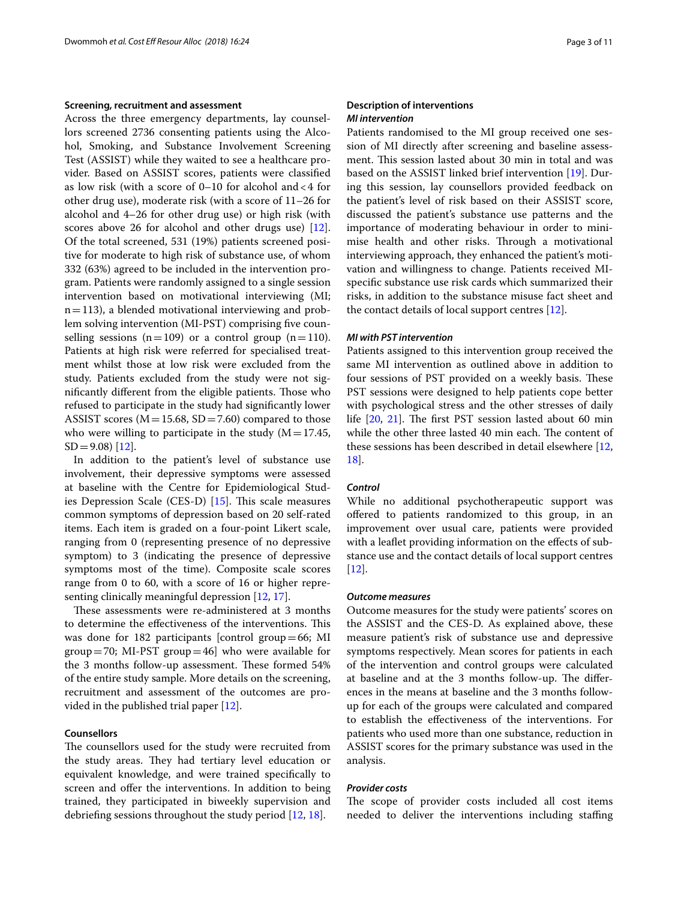#### **Screening, recruitment and assessment**

Across the three emergency departments, lay counsellors screened 2736 consenting patients using the Alcohol, Smoking, and Substance Involvement Screening Test (ASSIST) while they waited to see a healthcare provider. Based on ASSIST scores, patients were classifed as low risk (with a score of  $0-10$  for alcohol and  $<$  4 for other drug use), moderate risk (with a score of 11–26 for alcohol and 4–26 for other drug use) or high risk (with scores above 26 for alcohol and other drugs use) [\[12](#page-10-11)]. Of the total screened, 531 (19%) patients screened positive for moderate to high risk of substance use, of whom 332 (63%) agreed to be included in the intervention program. Patients were randomly assigned to a single session intervention based on motivational interviewing (MI;  $n=113$ ), a blended motivational interviewing and problem solving intervention (MI-PST) comprising fve counselling sessions ( $n=109$ ) or a control group ( $n=110$ ). Patients at high risk were referred for specialised treatment whilst those at low risk were excluded from the study. Patients excluded from the study were not significantly different from the eligible patients. Those who refused to participate in the study had signifcantly lower ASSIST scores ( $M=15.68$ , SD = 7.60) compared to those who were willing to participate in the study  $(M=17.45,$  $SD = 9.08$  [[12](#page-10-11)].

In addition to the patient's level of substance use involvement, their depressive symptoms were assessed at baseline with the Centre for Epidemiological Stud-ies Depression Scale (CES-D) [\[15](#page-10-14)]. This scale measures common symptoms of depression based on 20 self-rated items. Each item is graded on a four-point Likert scale, ranging from 0 (representing presence of no depressive symptom) to 3 (indicating the presence of depressive symptoms most of the time). Composite scale scores range from 0 to 60, with a score of 16 or higher representing clinically meaningful depression [[12,](#page-10-11) [17\]](#page-10-16).

These assessments were re-administered at 3 months to determine the effectiveness of the interventions. This was done for 182 participants [control group=66; MI group=70; MI-PST group=46] who were available for the 3 months follow-up assessment. These formed  $54\%$ of the entire study sample. More details on the screening, recruitment and assessment of the outcomes are provided in the published trial paper [\[12](#page-10-11)].

#### **Counsellors**

The counsellors used for the study were recruited from the study areas. They had tertiary level education or equivalent knowledge, and were trained specifcally to screen and offer the interventions. In addition to being trained, they participated in biweekly supervision and debriefng sessions throughout the study period [[12](#page-10-11), [18\]](#page-10-17).

# **Description of interventions** *MI intervention*

Patients randomised to the MI group received one session of MI directly after screening and baseline assessment. This session lasted about 30 min in total and was based on the ASSIST linked brief intervention [[19\]](#page-10-18). During this session, lay counsellors provided feedback on the patient's level of risk based on their ASSIST score, discussed the patient's substance use patterns and the importance of moderating behaviour in order to minimise health and other risks. Through a motivational interviewing approach, they enhanced the patient's motivation and willingness to change. Patients received MIspecifc substance use risk cards which summarized their risks, in addition to the substance misuse fact sheet and the contact details of local support centres [\[12\]](#page-10-11).

#### *MI with PST intervention*

Patients assigned to this intervention group received the same MI intervention as outlined above in addition to four sessions of PST provided on a weekly basis. These PST sessions were designed to help patients cope better with psychological stress and the other stresses of daily life  $[20, 21]$  $[20, 21]$  $[20, 21]$  $[20, 21]$ . The first PST session lasted about 60 min while the other three lasted 40 min each. The content of these sessions has been described in detail elsewhere [[12](#page-10-11), [18\]](#page-10-17).

#### *Control*

While no additional psychotherapeutic support was ofered to patients randomized to this group, in an improvement over usual care, patients were provided with a leaflet providing information on the effects of substance use and the contact details of local support centres [[12\]](#page-10-11).

#### *Outcome measures*

Outcome measures for the study were patients' scores on the ASSIST and the CES-D. As explained above, these measure patient's risk of substance use and depressive symptoms respectively. Mean scores for patients in each of the intervention and control groups were calculated at baseline and at the 3 months follow-up. The differences in the means at baseline and the 3 months followup for each of the groups were calculated and compared to establish the efectiveness of the interventions. For patients who used more than one substance, reduction in ASSIST scores for the primary substance was used in the analysis.

#### *Provider costs*

The scope of provider costs included all cost items needed to deliver the interventions including staffing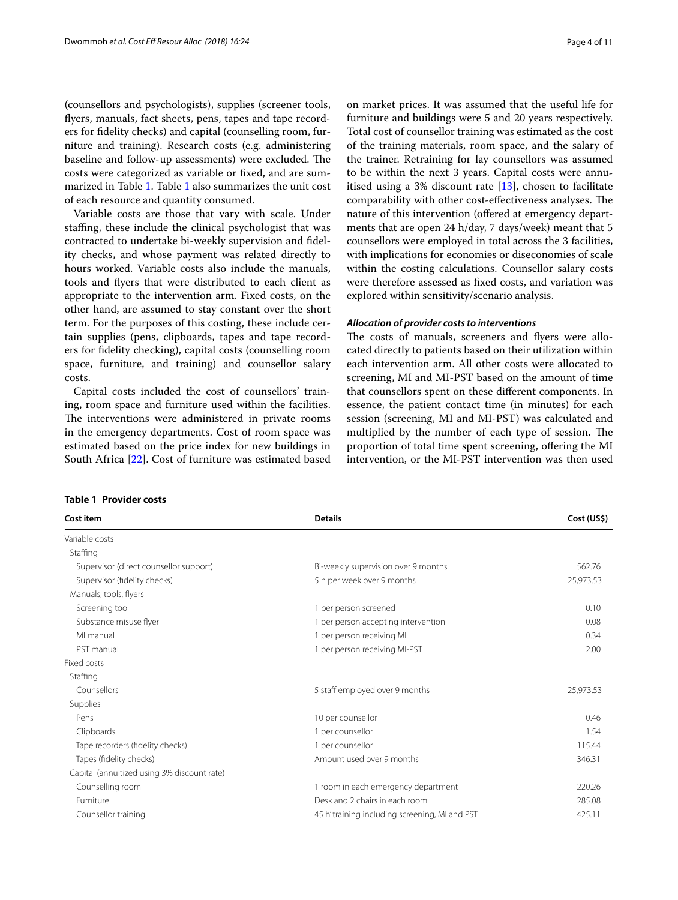(counsellors and psychologists), supplies (screener tools, fyers, manuals, fact sheets, pens, tapes and tape recorders for fdelity checks) and capital (counselling room, furniture and training). Research costs (e.g. administering baseline and follow-up assessments) were excluded. The costs were categorized as variable or fxed, and are summarized in Table [1.](#page-3-0) Table [1](#page-3-0) also summarizes the unit cost of each resource and quantity consumed.

Variable costs are those that vary with scale. Under stafng, these include the clinical psychologist that was contracted to undertake bi-weekly supervision and fdelity checks, and whose payment was related directly to hours worked. Variable costs also include the manuals, tools and fyers that were distributed to each client as appropriate to the intervention arm. Fixed costs, on the other hand, are assumed to stay constant over the short term. For the purposes of this costing, these include certain supplies (pens, clipboards, tapes and tape recorders for fdelity checking), capital costs (counselling room space, furniture, and training) and counsellor salary costs.

Capital costs included the cost of counsellors' training, room space and furniture used within the facilities. The interventions were administered in private rooms in the emergency departments. Cost of room space was estimated based on the price index for new buildings in South Africa [\[22](#page-10-21)]. Cost of furniture was estimated based

# on market prices. It was assumed that the useful life for furniture and buildings were 5 and 20 years respectively. Total cost of counsellor training was estimated as the cost of the training materials, room space, and the salary of the trainer. Retraining for lay counsellors was assumed to be within the next 3 years. Capital costs were annuitised using a 3% discount rate [[13](#page-10-12)], chosen to facilitate comparability with other cost-effectiveness analyses. The nature of this intervention (offered at emergency departments that are open 24 h/day, 7 days/week) meant that 5 counsellors were employed in total across the 3 facilities, with implications for economies or diseconomies of scale within the costing calculations. Counsellor salary costs were therefore assessed as fxed costs, and variation was explored within sensitivity/scenario analysis.

#### *Allocation of provider costs to interventions*

The costs of manuals, screeners and flyers were allocated directly to patients based on their utilization within each intervention arm. All other costs were allocated to screening, MI and MI-PST based on the amount of time that counsellors spent on these diferent components. In essence, the patient contact time (in minutes) for each session (screening, MI and MI-PST) was calculated and multiplied by the number of each type of session. The proportion of total time spent screening, offering the MI intervention, or the MI-PST intervention was then used

#### <span id="page-3-0"></span>**Table 1 Provider costs**

| Cost item                                   | <b>Details</b>                                | Cost (US\$) |  |
|---------------------------------------------|-----------------------------------------------|-------------|--|
| Variable costs                              |                                               |             |  |
| Staffing                                    |                                               |             |  |
| Supervisor (direct counsellor support)      | Bi-weekly supervision over 9 months           | 562.76      |  |
| Supervisor (fidelity checks)                | 5 h per week over 9 months                    | 25,973.53   |  |
| Manuals, tools, flyers                      |                                               |             |  |
| Screening tool                              | 1 per person screened                         | 0.10        |  |
| Substance misuse flyer                      | 1 per person accepting intervention           | 0.08        |  |
| MI manual                                   | 1 per person receiving MI                     | 0.34        |  |
| PST manual                                  | 1 per person receiving MI-PST                 | 2.00        |  |
| Fixed costs                                 |                                               |             |  |
| Staffing                                    |                                               |             |  |
| Counsellors                                 | 5 staff employed over 9 months                | 25,973.53   |  |
| Supplies                                    |                                               |             |  |
| Pens                                        | 10 per counsellor                             | 0.46        |  |
| Clipboards                                  | 1 per counsellor                              | 1.54        |  |
| Tape recorders (fidelity checks)            | 1 per counsellor                              | 115.44      |  |
| Tapes (fidelity checks)                     | Amount used over 9 months                     | 346.31      |  |
| Capital (annuitized using 3% discount rate) |                                               |             |  |
| Counselling room                            | 1 room in each emergency department           | 220.26      |  |
| Furniture                                   | Desk and 2 chairs in each room                | 285.08      |  |
| Counsellor training                         | 45 h'training including screening, MI and PST | 425.11      |  |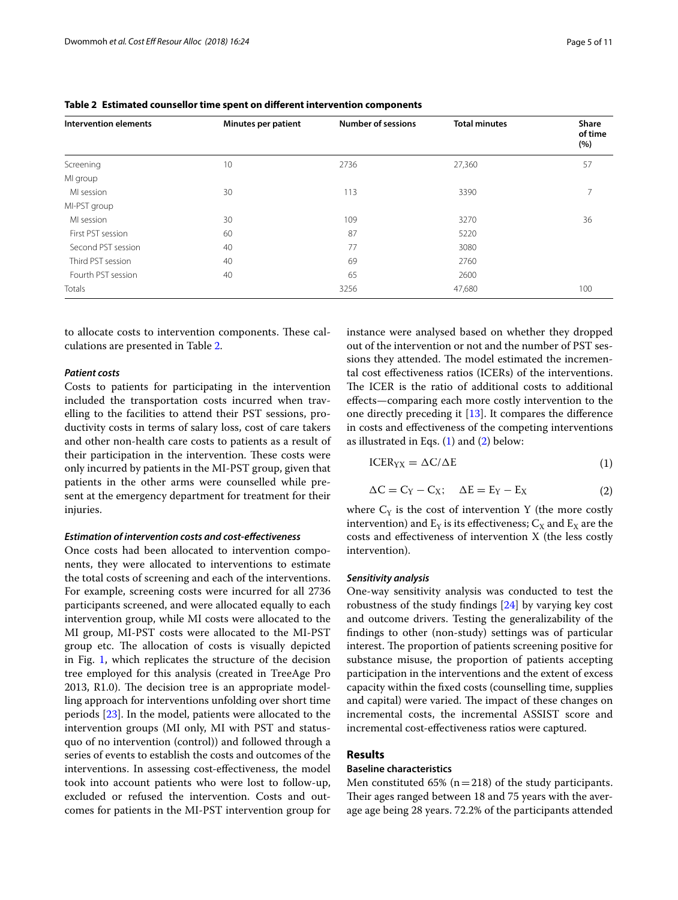| Intervention elements | Minutes per patient | <b>Number of sessions</b> | <b>Total minutes</b> | <b>Share</b><br>of time |
|-----------------------|---------------------|---------------------------|----------------------|-------------------------|
|                       |                     |                           |                      | (%)                     |
| Screening             | 10                  | 2736                      | 27,360               | 57                      |
| MI group              |                     |                           |                      |                         |
| MI session            | 30                  | 113                       | 3390                 | $\overline{7}$          |
| MI-PST group          |                     |                           |                      |                         |
| MI session            | 30                  | 109                       | 3270                 | 36                      |
| First PST session     | 60                  | 87                        | 5220                 |                         |
| Second PST session    | 40                  | 77                        | 3080                 |                         |
| Third PST session     | 40                  | 69                        | 2760                 |                         |
| Fourth PST session    | 40                  | 65                        | 2600                 |                         |
| Totals                |                     | 3256                      | 47,680               | 100                     |

<span id="page-4-0"></span>**Table 2 Estimated counsellor time spent on diferent intervention components**

to allocate costs to intervention components. These calculations are presented in Table [2](#page-4-0).

## *Patient costs*

Costs to patients for participating in the intervention included the transportation costs incurred when travelling to the facilities to attend their PST sessions, productivity costs in terms of salary loss, cost of care takers and other non-health care costs to patients as a result of their participation in the intervention. These costs were only incurred by patients in the MI-PST group, given that patients in the other arms were counselled while present at the emergency department for treatment for their injuries.

#### *Estimation of intervention costs and cost‑efectiveness*

Once costs had been allocated to intervention components, they were allocated to interventions to estimate the total costs of screening and each of the interventions. For example, screening costs were incurred for all 2736 participants screened, and were allocated equally to each intervention group, while MI costs were allocated to the MI group, MI-PST costs were allocated to the MI-PST group etc. The allocation of costs is visually depicted in Fig. [1](#page-5-0), which replicates the structure of the decision tree employed for this analysis (created in TreeAge Pro 2013, R1.0). The decision tree is an appropriate modelling approach for interventions unfolding over short time periods [\[23](#page-10-22)]. In the model, patients were allocated to the intervention groups (MI only, MI with PST and statusquo of no intervention (control)) and followed through a series of events to establish the costs and outcomes of the interventions. In assessing cost-efectiveness, the model took into account patients who were lost to follow-up, excluded or refused the intervention. Costs and outcomes for patients in the MI-PST intervention group for instance were analysed based on whether they dropped out of the intervention or not and the number of PST sessions they attended. The model estimated the incremental cost efectiveness ratios (ICERs) of the interventions. The ICER is the ratio of additional costs to additional efects—comparing each more costly intervention to the one directly preceding it [\[13](#page-10-12)]. It compares the diference in costs and efectiveness of the competing interventions as illustrated in Eqs.  $(1)$  $(1)$  and  $(2)$  below:

<span id="page-4-1"></span>
$$
ICER_{YX} = \Delta C/\Delta E \tag{1}
$$

<span id="page-4-2"></span>
$$
\Delta C = C_Y - C_X; \quad \Delta E = E_Y - E_X \tag{2}
$$

where  $C_Y$  is the cost of intervention Y (the more costly intervention) and  $E_Y$  is its effectiveness;  $C_X$  and  $E_X$  are the costs and efectiveness of intervention X (the less costly intervention).

#### *Sensitivity analysis*

One-way sensitivity analysis was conducted to test the robustness of the study fndings [[24\]](#page-10-23) by varying key cost and outcome drivers. Testing the generalizability of the fndings to other (non-study) settings was of particular interest. The proportion of patients screening positive for substance misuse, the proportion of patients accepting participation in the interventions and the extent of excess capacity within the fxed costs (counselling time, supplies and capital) were varied. The impact of these changes on incremental costs, the incremental ASSIST score and incremental cost-efectiveness ratios were captured.

## **Results**

# **Baseline characteristics**

Men constituted 65% ( $n=218$ ) of the study participants. Their ages ranged between 18 and 75 years with the average age being 28 years. 72.2% of the participants attended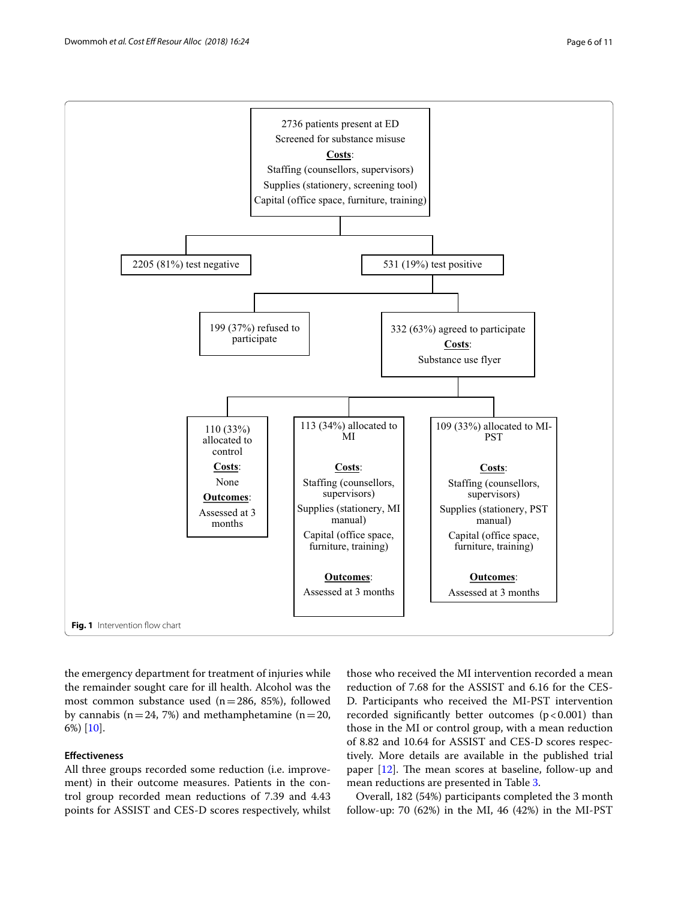

<span id="page-5-0"></span>the emergency department for treatment of injuries while the remainder sought care for ill health. Alcohol was the most common substance used ( $n=286$ , 85%), followed by cannabis ( $n=24$ , 7%) and methamphetamine ( $n=20$ , 6%) [\[10\]](#page-10-9).

## **Efectiveness**

All three groups recorded some reduction (i.e. improvement) in their outcome measures. Patients in the control group recorded mean reductions of 7.39 and 4.43 points for ASSIST and CES-D scores respectively, whilst

those who received the MI intervention recorded a mean reduction of 7.68 for the ASSIST and 6.16 for the CES-D. Participants who received the MI-PST intervention recorded significantly better outcomes  $(p<0.001)$  than those in the MI or control group, with a mean reduction of 8.82 and 10.64 for ASSIST and CES-D scores respectively. More details are available in the published trial paper  $[12]$ . The mean scores at baseline, follow-up and mean reductions are presented in Table [3.](#page-6-0)

Overall, 182 (54%) participants completed the 3 month follow-up: 70 (62%) in the MI, 46 (42%) in the MI-PST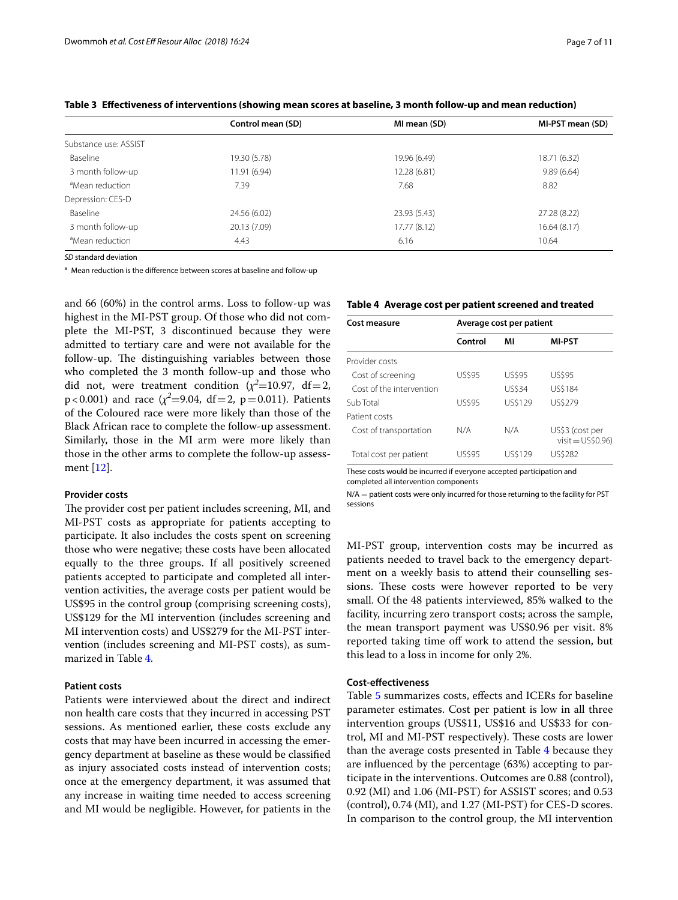|                             | Control mean (SD) | MI mean (SD) | MI-PST mean (SD) |  |
|-----------------------------|-------------------|--------------|------------------|--|
| Substance use: ASSIST       |                   |              |                  |  |
| Baseline                    | 19.30 (5.78)      | 19.96 (6.49) | 18.71 (6.32)     |  |
| 3 month follow-up           | 11.91 (6.94)      | 12.28 (6.81) | 9.89(6.64)       |  |
| <sup>a</sup> Mean reduction | 7.39              | 7.68         | 8.82             |  |
| Depression: CES-D           |                   |              |                  |  |
| Baseline                    | 24.56 (6.02)      | 23.93 (5.43) | 27.28 (8.22)     |  |
| 3 month follow-up           | 20.13 (7.09)      | 17.77 (8.12) | 16.64(8.17)      |  |
| <sup>a</sup> Mean reduction | 4.43              | 6.16         | 10.64            |  |

<span id="page-6-0"></span>**Table 3 Efectiveness of interventions (showing mean scores at baseline, 3 month follow-up and mean reduction)**

*SD* standard deviation

<sup>a</sup> Mean reduction is the difference between scores at baseline and follow-up

and 66 (60%) in the control arms. Loss to follow-up was highest in the MI-PST group. Of those who did not complete the MI-PST, 3 discontinued because they were admitted to tertiary care and were not available for the follow-up. The distinguishing variables between those who completed the 3 month follow-up and those who did not, were treatment condition  $(\chi^2=10.97, df=2,$  $p < 0.001$ ) and race  $(\chi^2 = 9.04, df = 2, p = 0.011)$ . Patients of the Coloured race were more likely than those of the Black African race to complete the follow-up assessment. Similarly, those in the MI arm were more likely than those in the other arms to complete the follow-up assessment [\[12](#page-10-11)].

#### **Provider costs**

The provider cost per patient includes screening, MI, and MI-PST costs as appropriate for patients accepting to participate. It also includes the costs spent on screening those who were negative; these costs have been allocated equally to the three groups. If all positively screened patients accepted to participate and completed all intervention activities, the average costs per patient would be US\$95 in the control group (comprising screening costs), US\$129 for the MI intervention (includes screening and MI intervention costs) and US\$279 for the MI-PST intervention (includes screening and MI-PST costs), as summarized in Table [4](#page-6-1).

#### **Patient costs**

Patients were interviewed about the direct and indirect non health care costs that they incurred in accessing PST sessions. As mentioned earlier, these costs exclude any costs that may have been incurred in accessing the emergency department at baseline as these would be classifed as injury associated costs instead of intervention costs; once at the emergency department, it was assumed that any increase in waiting time needed to access screening and MI would be negligible. However, for patients in the

#### <span id="page-6-1"></span>**Table 4 Average cost per patient screened and treated**

| Cost measure             | Average cost per patient |               |                                      |  |  |
|--------------------------|--------------------------|---------------|--------------------------------------|--|--|
|                          | Control                  | MI            | <b>MI-PST</b>                        |  |  |
| Provider costs           |                          |               |                                      |  |  |
| Cost of screening        | <b>US\$95</b>            | <b>US\$95</b> | <b>US\$95</b>                        |  |  |
| Cost of the intervention |                          | <b>US\$34</b> | <b>US\$184</b>                       |  |  |
| Sub Total                | <b>US\$95</b>            | US\$129       | <b>US\$279</b>                       |  |  |
| Patient costs            |                          |               |                                      |  |  |
| Cost of transportation   | N/A                      | N/A           | US\$3 (cost per<br>$visit = US$0.96$ |  |  |
| Total cost per patient   | US\$95                   | US\$129       | US\$282                              |  |  |

These costs would be incurred if everyone accepted participation and completed all intervention components

N/A = patient costs were only incurred for those returning to the facility for PST sessions

MI-PST group, intervention costs may be incurred as patients needed to travel back to the emergency department on a weekly basis to attend their counselling sessions. These costs were however reported to be very small. Of the 48 patients interviewed, 85% walked to the facility, incurring zero transport costs; across the sample, the mean transport payment was US\$0.96 per visit. 8% reported taking time off work to attend the session, but this lead to a loss in income for only 2%.

#### **Cost‑efectiveness**

Table [5](#page-7-0) summarizes costs, efects and ICERs for baseline parameter estimates. Cost per patient is low in all three intervention groups (US\$11, US\$16 and US\$33 for control, MI and MI-PST respectively). These costs are lower than the average costs presented in Table [4](#page-6-1) because they are infuenced by the percentage (63%) accepting to participate in the interventions. Outcomes are 0.88 (control), 0.92 (MI) and 1.06 (MI-PST) for ASSIST scores; and 0.53 (control), 0.74 (MI), and 1.27 (MI-PST) for CES-D scores. In comparison to the control group, the MI intervention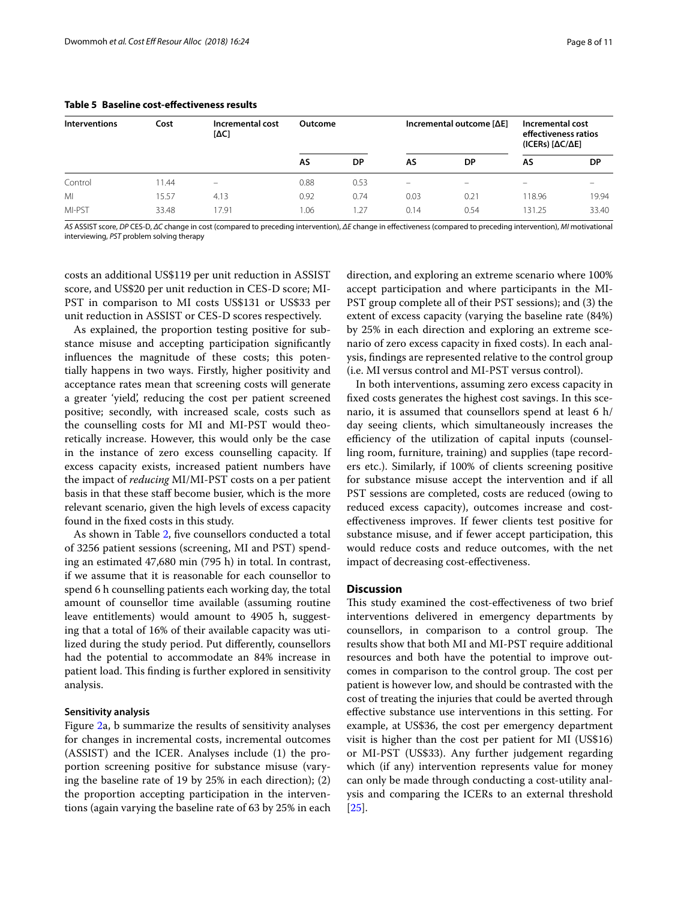| Table 5 Baseline cost-effectiveness results<br>Interventions | Cost | Incremental cost<br>[AC] | Outcome |           |    | Incremental outcome $[ \Delta E ]$ | Incremental cost                                      |    |
|--------------------------------------------------------------|------|--------------------------|---------|-----------|----|------------------------------------|-------------------------------------------------------|----|
|                                                              |      |                          |         |           |    |                                    | effectiveness ratios<br>(ICERs) $[\Delta C/\Delta E]$ |    |
|                                                              |      |                          | AS      | <b>DP</b> | AS | DP                                 | AS                                                    | DP |
| Control                                                      | 1.44 | -                        | 0.88    | 0.53      | -  | -                                  | -                                                     |    |

#### <span id="page-7-0"></span>**Table**<sub>5</sub>

*AS* ASSIST score, *DP* CES-D, *ΔC* change in cost (compared to preceding intervention), *ΔE* change in efectiveness (compared to preceding intervention), *MI* motivational interviewing, *PST* problem solving therapy MI-PST 33.48 17.91 1.06 1.27 0.14 0.54 131.25 33.40

MI 15.57 4.13 0.92 0.74 0.03 0.21 118.96 19.94

costs an additional US\$119 per unit reduction in ASSIST score, and US\$20 per unit reduction in CES-D score; MI-PST in comparison to MI costs US\$131 or US\$33 per unit reduction in ASSIST or CES-D scores respectively.

As explained, the proportion testing positive for substance misuse and accepting participation signifcantly infuences the magnitude of these costs; this potentially happens in two ways. Firstly, higher positivity and acceptance rates mean that screening costs will generate a greater 'yield', reducing the cost per patient screened positive; secondly, with increased scale, costs such as the counselling costs for MI and MI-PST would theoretically increase. However, this would only be the case in the instance of zero excess counselling capacity. If excess capacity exists, increased patient numbers have the impact of *reducing* MI/MI-PST costs on a per patient basis in that these staf become busier, which is the more relevant scenario, given the high levels of excess capacity found in the fxed costs in this study.

As shown in Table [2](#page-4-0), fve counsellors conducted a total of 3256 patient sessions (screening, MI and PST) spending an estimated 47,680 min (795 h) in total. In contrast, if we assume that it is reasonable for each counsellor to spend 6 h counselling patients each working day, the total amount of counsellor time available (assuming routine leave entitlements) would amount to 4905 h, suggesting that a total of 16% of their available capacity was utilized during the study period. Put diferently, counsellors had the potential to accommodate an 84% increase in patient load. This finding is further explored in sensitivity analysis.

#### **Sensitivity analysis**

Figure [2](#page-8-0)a, b summarize the results of sensitivity analyses for changes in incremental costs, incremental outcomes (ASSIST) and the ICER. Analyses include (1) the proportion screening positive for substance misuse (varying the baseline rate of 19 by 25% in each direction); (2) the proportion accepting participation in the interventions (again varying the baseline rate of 63 by 25% in each direction, and exploring an extreme scenario where 100% accept participation and where participants in the MI-PST group complete all of their PST sessions); and (3) the extent of excess capacity (varying the baseline rate (84%) by 25% in each direction and exploring an extreme scenario of zero excess capacity in fxed costs). In each analysis, fndings are represented relative to the control group (i.e. MI versus control and MI-PST versus control).

In both interventions, assuming zero excess capacity in fxed costs generates the highest cost savings. In this scenario, it is assumed that counsellors spend at least 6 h/ day seeing clients, which simultaneously increases the efficiency of the utilization of capital inputs (counselling room, furniture, training) and supplies (tape recorders etc.). Similarly, if 100% of clients screening positive for substance misuse accept the intervention and if all PST sessions are completed, costs are reduced (owing to reduced excess capacity), outcomes increase and costefectiveness improves. If fewer clients test positive for substance misuse, and if fewer accept participation, this would reduce costs and reduce outcomes, with the net impact of decreasing cost-efectiveness.

# **Discussion**

This study examined the cost-effectiveness of two brief interventions delivered in emergency departments by counsellors, in comparison to a control group. The results show that both MI and MI-PST require additional resources and both have the potential to improve outcomes in comparison to the control group. The cost per patient is however low, and should be contrasted with the cost of treating the injuries that could be averted through efective substance use interventions in this setting. For example, at US\$36, the cost per emergency department visit is higher than the cost per patient for MI (US\$16) or MI-PST (US\$33). Any further judgement regarding which (if any) intervention represents value for money can only be made through conducting a cost-utility analysis and comparing the ICERs to an external threshold [[25\]](#page-10-24).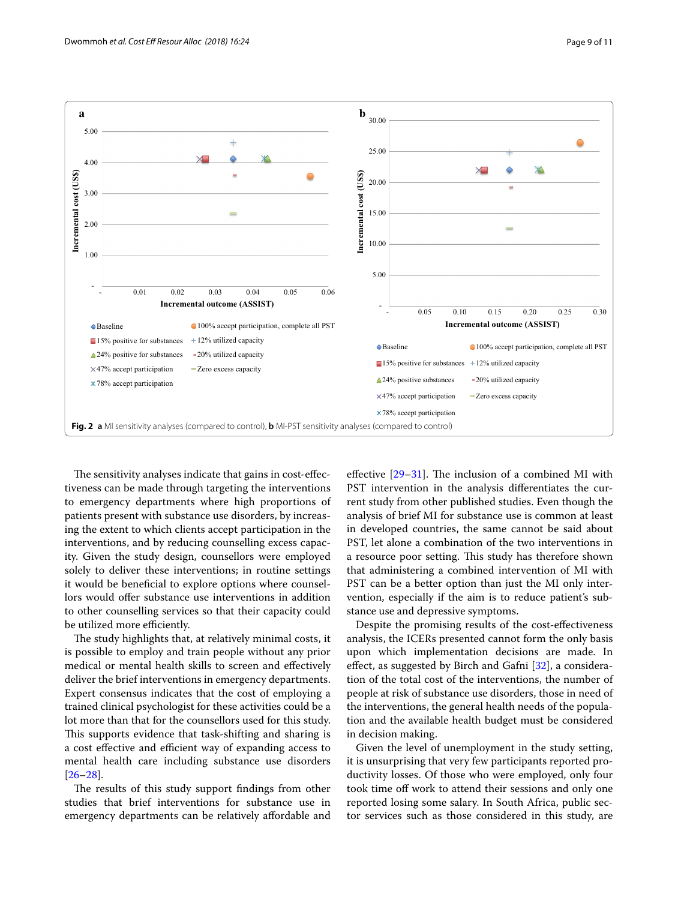

<span id="page-8-0"></span>The sensitivity analyses indicate that gains in cost-effectiveness can be made through targeting the interventions to emergency departments where high proportions of patients present with substance use disorders, by increasing the extent to which clients accept participation in the interventions, and by reducing counselling excess capacity. Given the study design, counsellors were employed solely to deliver these interventions; in routine settings it would be benefcial to explore options where counsellors would offer substance use interventions in addition to other counselling services so that their capacity could be utilized more efficiently.

The study highlights that, at relatively minimal costs, it is possible to employ and train people without any prior medical or mental health skills to screen and efectively deliver the brief interventions in emergency departments. Expert consensus indicates that the cost of employing a trained clinical psychologist for these activities could be a lot more than that for the counsellors used for this study. This supports evidence that task-shifting and sharing is a cost effective and efficient way of expanding access to mental health care including substance use disorders [[26–](#page-10-25)[28](#page-10-26)].

The results of this study support findings from other studies that brief interventions for substance use in emergency departments can be relatively afordable and

effective  $[29-31]$  $[29-31]$  $[29-31]$ . The inclusion of a combined MI with PST intervention in the analysis diferentiates the current study from other published studies. Even though the analysis of brief MI for substance use is common at least in developed countries, the same cannot be said about PST, let alone a combination of the two interventions in a resource poor setting. This study has therefore shown that administering a combined intervention of MI with PST can be a better option than just the MI only intervention, especially if the aim is to reduce patient's substance use and depressive symptoms.

Despite the promising results of the cost-efectiveness analysis, the ICERs presented cannot form the only basis upon which implementation decisions are made. In effect, as suggested by Birch and Gafni  $[32]$  $[32]$ , a consideration of the total cost of the interventions, the number of people at risk of substance use disorders, those in need of the interventions, the general health needs of the population and the available health budget must be considered in decision making.

Given the level of unemployment in the study setting, it is unsurprising that very few participants reported productivity losses. Of those who were employed, only four took time off work to attend their sessions and only one reported losing some salary. In South Africa, public sector services such as those considered in this study, are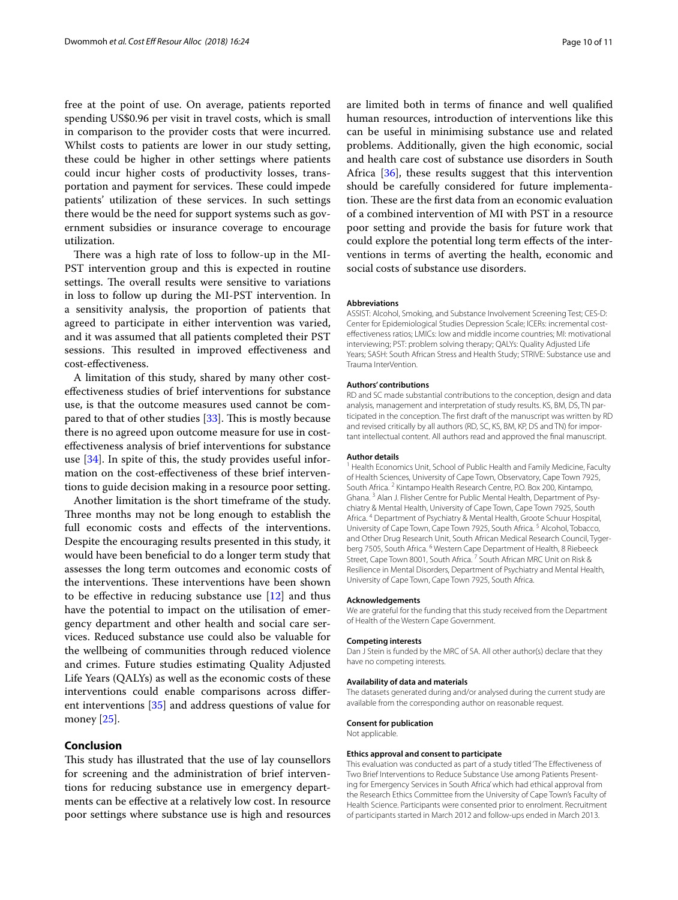free at the point of use. On average, patients reported spending US\$0.96 per visit in travel costs, which is small in comparison to the provider costs that were incurred. Whilst costs to patients are lower in our study setting, these could be higher in other settings where patients could incur higher costs of productivity losses, transportation and payment for services. These could impede patients' utilization of these services. In such settings there would be the need for support systems such as government subsidies or insurance coverage to encourage utilization.

There was a high rate of loss to follow-up in the MI-PST intervention group and this is expected in routine settings. The overall results were sensitive to variations in loss to follow up during the MI-PST intervention. In a sensitivity analysis, the proportion of patients that agreed to participate in either intervention was varied, and it was assumed that all patients completed their PST sessions. This resulted in improved effectiveness and cost-efectiveness.

A limitation of this study, shared by many other costefectiveness studies of brief interventions for substance use, is that the outcome measures used cannot be compared to that of other studies  $[33]$  $[33]$ . This is mostly because there is no agreed upon outcome measure for use in costefectiveness analysis of brief interventions for substance use [[34](#page-10-31)]. In spite of this, the study provides useful information on the cost-efectiveness of these brief interventions to guide decision making in a resource poor setting.

Another limitation is the short timeframe of the study. Three months may not be long enough to establish the full economic costs and efects of the interventions. Despite the encouraging results presented in this study, it would have been benefcial to do a longer term study that assesses the long term outcomes and economic costs of the interventions. These interventions have been shown to be effective in reducing substance use  $[12]$  $[12]$  and thus have the potential to impact on the utilisation of emergency department and other health and social care services. Reduced substance use could also be valuable for the wellbeing of communities through reduced violence and crimes. Future studies estimating Quality Adjusted Life Years (QALYs) as well as the economic costs of these interventions could enable comparisons across diferent interventions [\[35](#page-10-32)] and address questions of value for money [\[25\]](#page-10-24).

# **Conclusion**

This study has illustrated that the use of lay counsellors for screening and the administration of brief interventions for reducing substance use in emergency departments can be efective at a relatively low cost. In resource poor settings where substance use is high and resources

are limited both in terms of fnance and well qualifed human resources, introduction of interventions like this can be useful in minimising substance use and related problems. Additionally, given the high economic, social and health care cost of substance use disorders in South Africa [[36](#page-10-33)], these results suggest that this intervention should be carefully considered for future implementation. These are the first data from an economic evaluation of a combined intervention of MI with PST in a resource poor setting and provide the basis for future work that could explore the potential long term efects of the interventions in terms of averting the health, economic and social costs of substance use disorders.

#### **Abbreviations**

ASSIST: Alcohol, Smoking, and Substance Involvement Screening Test; CES-D: Center for Epidemiological Studies Depression Scale; ICERs: incremental costefectiveness ratios; LMICs: low and middle income countries; MI: motivational interviewing; PST: problem solving therapy; QALYs: Quality Adjusted Life Years; SASH: South African Stress and Health Study; STRIVE: Substance use and Trauma InterVention.

#### **Authors' contributions**

RD and SC made substantial contributions to the conception, design and data analysis, management and interpretation of study results. KS, BM, DS, TN participated in the conception. The frst draft of the manuscript was written by RD and revised critically by all authors (RD, SC, KS, BM, KP, DS and TN) for important intellectual content. All authors read and approved the fnal manuscript.

#### **Author details**

<sup>1</sup> Health Economics Unit, School of Public Health and Family Medicine, Faculty of Health Sciences, University of Cape Town, Observatory, Cape Town 7925, South Africa.<sup>2</sup> Kintampo Health Research Centre, P.O. Box 200, Kintampo, Ghana. 3 Alan J. Flisher Centre for Public Mental Health, Department of Psychiatry & Mental Health, University of Cape Town, Cape Town 7925, South Africa. <sup>4</sup> Department of Psychiatry & Mental Health, Groote Schuur Hospital, University of Cape Town, Cape Town 7925, South Africa.<sup>5</sup> Alcohol, Tobacco, and Other Drug Research Unit, South African Medical Research Council, Tygerberg 7505, South Africa. <sup>6</sup> Western Cape Department of Health, 8 Riebeeck Street, Cape Town 8001, South Africa.<sup>7</sup> South African MRC Unit on Risk & Resilience in Mental Disorders, Department of Psychiatry and Mental Health, University of Cape Town, Cape Town 7925, South Africa.

#### **Acknowledgements**

We are grateful for the funding that this study received from the Department of Health of the Western Cape Government.

#### **Competing interests**

Dan J Stein is funded by the MRC of SA. All other author(s) declare that they have no competing interests.

#### **Availability of data and materials**

The datasets generated during and/or analysed during the current study are available from the corresponding author on reasonable request.

#### **Consent for publication**

Not applicable.

#### **Ethics approval and consent to participate**

This evaluation was conducted as part of a study titled 'The Efectiveness of Two Brief Interventions to Reduce Substance Use among Patients Presenting for Emergency Services in South Africa' which had ethical approval from the Research Ethics Committee from the University of Cape Town's Faculty of Health Science. Participants were consented prior to enrolment. Recruitment of participants started in March 2012 and follow-ups ended in March 2013.